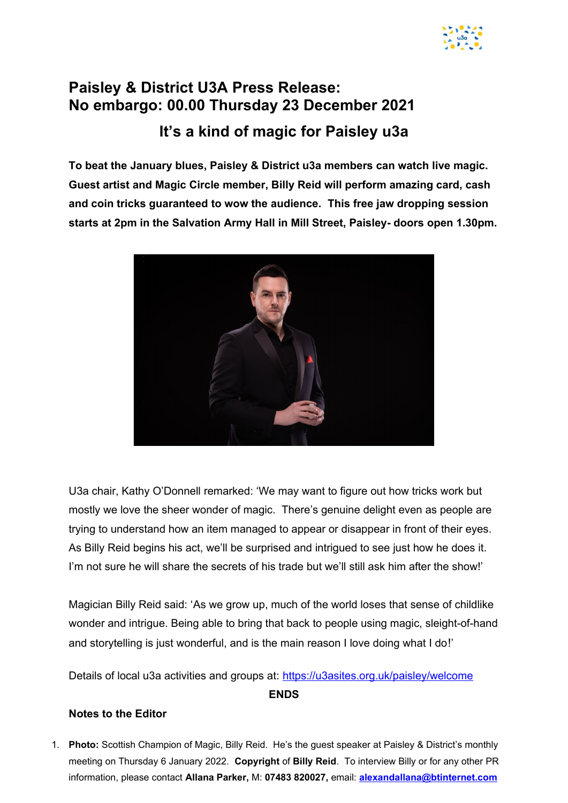

## **Paisley & District U3A Press Release: No embargo: 00.00 Thursday 23 December 2021 It's a kind of magic for Paisley u3a**

**To beat the January blues, Paisley & District u3a members can watch live magic. Guest artist and Magic Circle member, Billy Reid will perform amazing card, cash and coin tricks guaranteed to wow the audience. This free jaw dropping session starts at 2pm in the Salvation Army Hall in Mill Street, Paisley- doors open 1.30pm.**



U3a chair, Kathy O'Donnell remarked: 'We may want to figure out how tricks work but mostly we love the sheer wonder of magic. There's genuine delight even as people are trying to understand how an item managed to appear or disappear in front of their eyes. As Billy Reid begins his act, we'll be surprised and intrigued to see just how he does it. I'm not sure he will share the secrets of his trade but we'll still ask him after the show!'

Magician Billy Reid said: 'As we grow up, much of the world loses that sense of childlike wonder and intrigue. Being able to bring that back to people using magic, sleight-of-hand and storytelling is just wonderful, and is the main reason I love doing what I do!'

Details of local u3a activities and groups at: [https://u3asites.org.uk/paisley/welcome](about:blank)

## **ENDS**

## **Notes to the Editor**

1. **Photo:** Scottish Champion of Magic, Billy Reid. He's the guest speaker at Paisley & District's monthly meeting on Thursday 6 January 2022. **Copyright** of **Billy Reid**. To interview Billy or for any other PR information, please contact **Allana Parker,** M: **07483 820027,** email: **[alexandallana@btinternet.com](about:blank)**